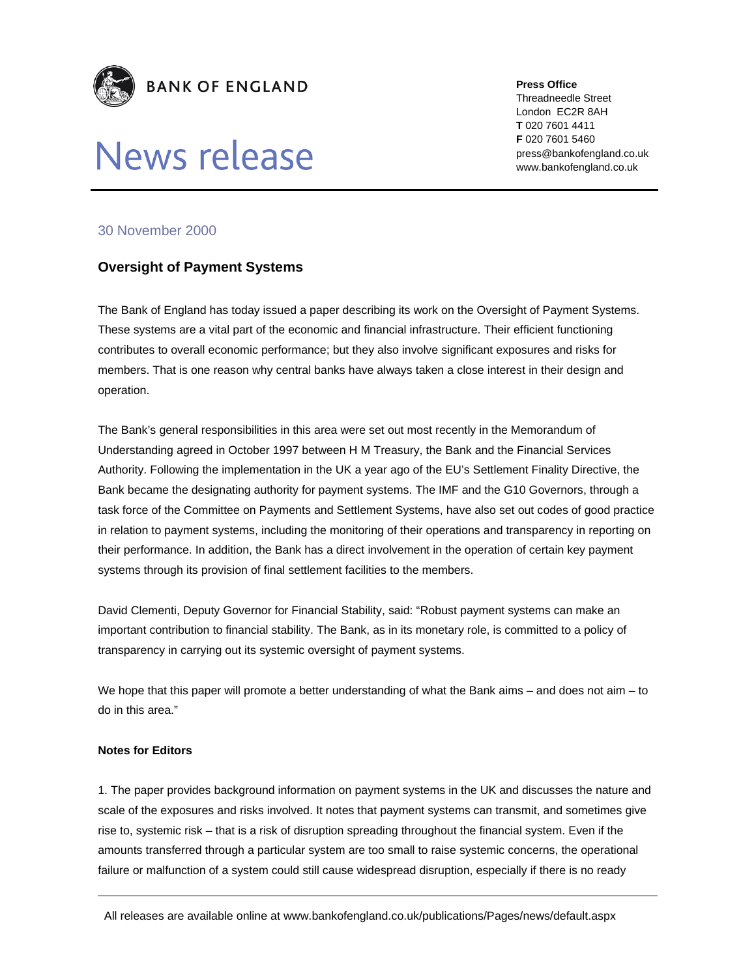

## News release

**Press Office** 

Threadneedle Street London EC2R 8AH **T** 020 7601 4411 **F** 020 7601 5460 press@bankofengland.co.uk www.bankofengland.co.uk

## 30 November 2000

## **Oversight of Payment Systems**

The Bank of England has today issued a paper describing its work on the Oversight of Payment Systems. These systems are a vital part of the economic and financial infrastructure. Their efficient functioning contributes to overall economic performance; but they also involve significant exposures and risks for members. That is one reason why central banks have always taken a close interest in their design and operation.

The Bank's general responsibilities in this area were set out most recently in the Memorandum of Understanding agreed in October 1997 between H M Treasury, the Bank and the Financial Services Authority. Following the implementation in the UK a year ago of the EU's Settlement Finality Directive, the Bank became the designating authority for payment systems. The IMF and the G10 Governors, through a task force of the Committee on Payments and Settlement Systems, have also set out codes of good practice in relation to payment systems, including the monitoring of their operations and transparency in reporting on their performance. In addition, the Bank has a direct involvement in the operation of certain key payment systems through its provision of final settlement facilities to the members.

David Clementi, Deputy Governor for Financial Stability, said: "Robust payment systems can make an important contribution to financial stability. The Bank, as in its monetary role, is committed to a policy of transparency in carrying out its systemic oversight of payment systems.

We hope that this paper will promote a better understanding of what the Bank aims – and does not aim – to do in this area."

## **Notes for Editors**

1. The paper provides background information on payment systems in the UK and discusses the nature and scale of the exposures and risks involved. It notes that payment systems can transmit, and sometimes give rise to, systemic risk – that is a risk of disruption spreading throughout the financial system. Even if the amounts transferred through a particular system are too small to raise systemic concerns, the operational failure or malfunction of a system could still cause widespread disruption, especially if there is no ready